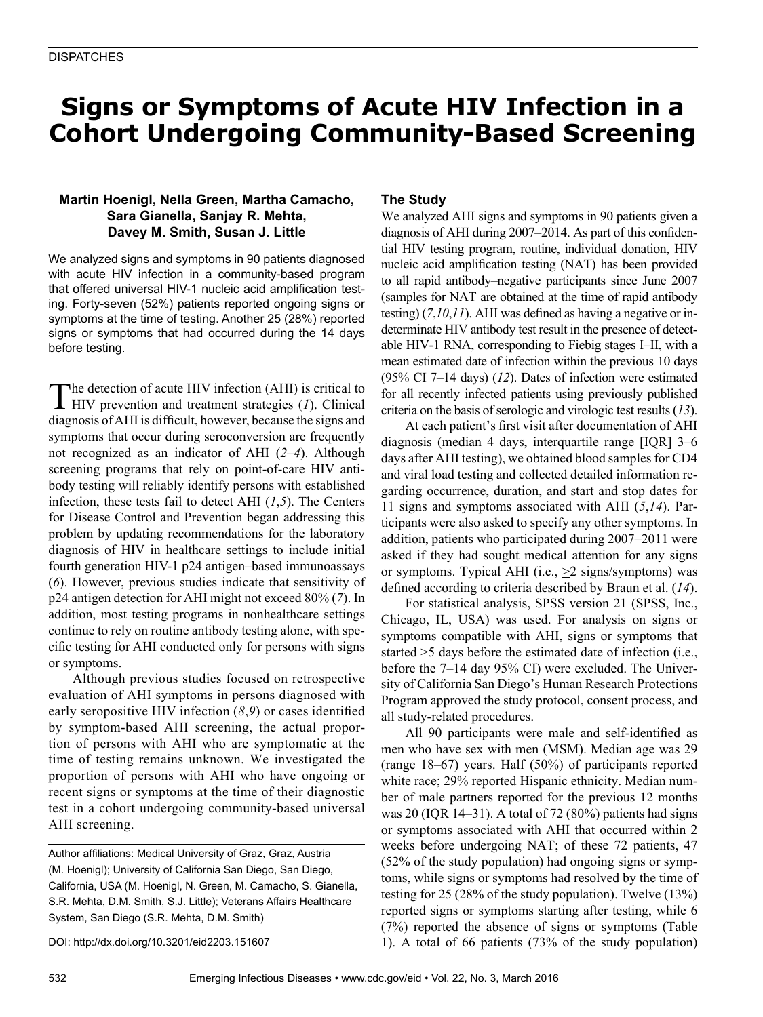# **Signs or Symptoms of Acute HIV Infection in a Cohort Undergoing Community-Based Screening**

## **Martin Hoenigl, Nella Green, Martha Camacho, Sara Gianella, Sanjay R. Mehta, Davey M. Smith, Susan J. Little**

We analyzed signs and symptoms in 90 patients diagnosed with acute HIV infection in a community-based program that offered universal HIV-1 nucleic acid amplification testing. Forty-seven (52%) patients reported ongoing signs or symptoms at the time of testing. Another 25 (28%) reported signs or symptoms that had occurred during the 14 days before testing.

The detection of acute HIV infection (AHI) is critical to HIV prevention and treatment strategies (*1*). Clinical diagnosis of AHI is difficult, however, because the signs and symptoms that occur during seroconversion are frequently not recognized as an indicator of AHI (*2*–*4*). Although screening programs that rely on point-of-care HIV antibody testing will reliably identify persons with established infection, these tests fail to detect AHI (*1*,*5*). The Centers for Disease Control and Prevention began addressing this problem by updating recommendations for the laboratory diagnosis of HIV in healthcare settings to include initial fourth generation HIV-1 p24 antigen–based immunoassays (*6*). However, previous studies indicate that sensitivity of p24 antigen detection for AHI might not exceed 80% (*7*). In addition, most testing programs in nonhealthcare settings continue to rely on routine antibody testing alone, with specific testing for AHI conducted only for persons with signs or symptoms.

Although previous studies focused on retrospective evaluation of AHI symptoms in persons diagnosed with early seropositive HIV infection (*8*,*9*) or cases identified by symptom-based AHI screening, the actual proportion of persons with AHI who are symptomatic at the time of testing remains unknown. We investigated the proportion of persons with AHI who have ongoing or recent signs or symptoms at the time of their diagnostic test in a cohort undergoing community-based universal AHI screening.

Author affiliations: Medical University of Graz, Graz, Austria (M. Hoenigl); University of California San Diego, San Diego, California, USA (M. Hoenigl, N. Green, M. Camacho, S. Gianella, S.R. Mehta, D.M. Smith, S.J. Little); Veterans Affairs Healthcare System, San Diego (S.R. Mehta, D.M. Smith)

DOI: http://dx.doi.org/10.3201/eid2203.151607

### **The Study**

We analyzed AHI signs and symptoms in 90 patients given a diagnosis of AHI during 2007–2014. As part of this confidential HIV testing program, routine, individual donation, HIV nucleic acid amplification testing (NAT) has been provided to all rapid antibody–negative participants since June 2007 (samples for NAT are obtained at the time of rapid antibody testing) (*7*,*10*,*11*). AHI was defined as having a negative or indeterminate HIV antibody test result in the presence of detectable HIV-1 RNA, corresponding to Fiebig stages I–II, with a mean estimated date of infection within the previous 10 days (95% CI 7–14 days) (*12*). Dates of infection were estimated for all recently infected patients using previously published criteria on the basis of serologic and virologic test results (*13*).

At each patient's first visit after documentation of AHI diagnosis (median 4 days, interquartile range [IQR] 3–6 days after AHI testing), we obtained blood samples for CD4 and viral load testing and collected detailed information regarding occurrence, duration, and start and stop dates for 11 signs and symptoms associated with AHI (*5*,*14*). Participants were also asked to specify any other symptoms. In addition, patients who participated during 2007–2011 were asked if they had sought medical attention for any signs or symptoms. Typical AHI (i.e.,  $\geq$ 2 signs/symptoms) was defined according to criteria described by Braun et al. (*14*).

For statistical analysis, SPSS version 21 (SPSS, Inc., Chicago, IL, USA) was used. For analysis on signs or symptoms compatible with AHI, signs or symptoms that started  $\geq$ 5 days before the estimated date of infection (i.e., before the 7–14 day 95% CI) were excluded. The University of California San Diego's Human Research Protections Program approved the study protocol, consent process, and all study-related procedures.

All 90 participants were male and self-identified as men who have sex with men (MSM). Median age was 29 (range 18–67) years. Half (50%) of participants reported white race; 29% reported Hispanic ethnicity. Median number of male partners reported for the previous 12 months was 20 (IQR 14–31). A total of 72 (80%) patients had signs or symptoms associated with AHI that occurred within 2 weeks before undergoing NAT; of these 72 patients, 47 (52% of the study population) had ongoing signs or symptoms, while signs or symptoms had resolved by the time of testing for 25 (28% of the study population). Twelve (13%) reported signs or symptoms starting after testing, while 6 (7%) reported the absence of signs or symptoms (Table 1). A total of 66 patients (73% of the study population)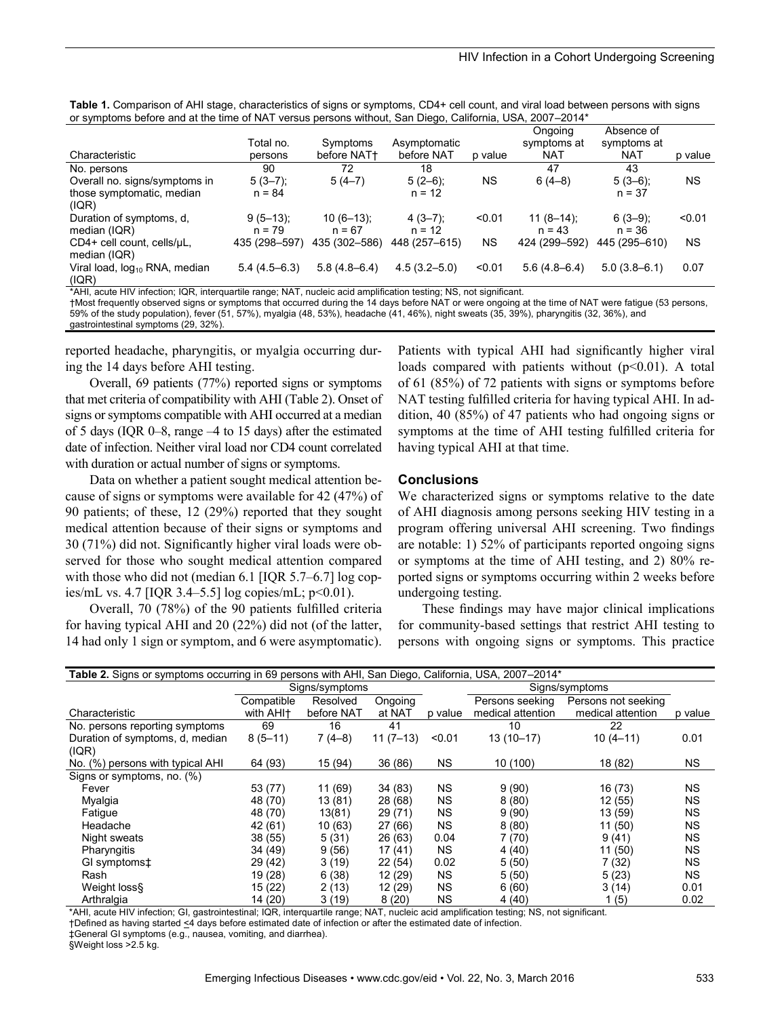|                                             | Total no.             | Symptoms                 | Asymptomatic           |           | Ongoing<br>symptoms at   | Absence of<br>symptoms at |           |
|---------------------------------------------|-----------------------|--------------------------|------------------------|-----------|--------------------------|---------------------------|-----------|
| Characteristic                              | persons               | before NAT+              | before NAT             | p value   | <b>NAT</b>               | <b>NAT</b>                | p value   |
| No. persons                                 | 90                    | 72                       | 18                     |           | 47                       | 43                        |           |
| Overall no. signs/symptoms in               | $5(3-7)$              | $5(4-7)$                 | $5(2-6)$ ;             | <b>NS</b> | $6(4-8)$                 | $5(3-6);$                 | <b>NS</b> |
| those symptomatic, median<br>(IQR)          | $n = 84$              |                          | $n = 12$               |           |                          | $n = 37$                  |           |
| Duration of symptoms, d.<br>median (IQR)    | $9(5-13)$<br>$n = 79$ | $10(6-13)$ ;<br>$n = 67$ | $4(3-7)$ ;<br>$n = 12$ | < 0.01    | $11(8-14)$ ;<br>$n = 43$ | $6(3-9)$ ;<br>$n = 36$    | < 0.01    |
| CD4+ cell count, cells/uL,<br>median (IQR)  | 435 (298-597)         | 435 (302-586)            | 448 (257-615)          | <b>NS</b> | 424 (299-592)            | 445 (295-610)             | <b>NS</b> |
| Viral load, $log_{10}$ RNA, median<br>(IQR) | $5.4(4.5-6.3)$        | $5.8(4.8 - 6.4)$         | $4.5(3.2 - 5.0)$       | < 0.01    | $5.6(4.8 - 6.4)$         | $5.0(3.8 - 6.1)$          | 0.07      |

Table 1. Comparison of AHI stage, characteristics of signs or symptoms, CD4+ cell count, and viral load between persons with signs or symptoms before and at the time of NAT versus persons without, San Diego, California, USA, 2007–2014\*

\*AHI, acute HIV infection; IQR, interquartile range; NAT, nucleic acid amplification testing; NS, not significant.

†Most frequently observed signs or symptoms that occurred during the 14 days before NAT or were ongoing at the time of NAT were fatigue (53 persons, 

59% of the study population), fever (51, 57%), myalgia (48, 53%), headache (41, 46%), night sweats (35, 39%), pharyngitis (32, 36%), and gastrointestinal symptoms (29, 32%).

reported headache, pharyngitis, or myalgia occurring during the 14 days before AHI testing.

Overall, 69 patients (77%) reported signs or symptoms that met criteria of compatibility with AHI (Table 2). Onset of signs or symptoms compatible with AHI occurred at a median of 5 days (IQR 0–8, range –4 to 15 days) after the estimated date of infection. Neither viral load nor CD4 count correlated with duration or actual number of signs or symptoms.

Data on whether a patient sought medical attention because of signs or symptoms were available for 42 (47%) of 90 patients; of these, 12 (29%) reported that they sought medical attention because of their signs or symptoms and 30 (71%) did not. Significantly higher viral loads were observed for those who sought medical attention compared with those who did not (median 6.1 [IQR 5.7–6.7] log copies/mL vs. 4.7 [IQR 3.4–5.5] log copies/mL;  $p<0.01$ ).

Overall, 70 (78%) of the 90 patients fulfilled criteria for having typical AHI and 20 (22%) did not (of the latter, 14 had only 1 sign or symptom, and 6 were asymptomatic).

Patients with typical AHI had significantly higher viral loads compared with patients without  $(p<0.01)$ . A total of 61 (85%) of 72 patients with signs or symptoms before NAT testing fulfilled criteria for having typical AHI. In addition, 40 (85%) of 47 patients who had ongoing signs or symptoms at the time of AHI testing fulfilled criteria for having typical AHI at that time.

#### **Conclusions**

We characterized signs or symptoms relative to the date of AHI diagnosis among persons seeking HIV testing in a program offering universal AHI screening. Two findings are notable: 1) 52% of participants reported ongoing signs or symptoms at the time of AHI testing, and 2) 80% reported signs or symptoms occurring within 2 weeks before undergoing testing.

These findings may have major clinical implications for community-based settings that restrict AHI testing to persons with ongoing signs or symptoms. This practice

| Table 2. Signs or symptoms occurring in 69 persons with AHI, San Diego, California, USA, 2007–2014* |                       |                |            |           |                   |                     |           |  |  |  |  |
|-----------------------------------------------------------------------------------------------------|-----------------------|----------------|------------|-----------|-------------------|---------------------|-----------|--|--|--|--|
|                                                                                                     |                       | Signs/symptoms |            |           | Signs/symptoms    |                     |           |  |  |  |  |
|                                                                                                     | Compatible            | Resolved       | Ongoing    |           | Persons seeking   | Persons not seeking |           |  |  |  |  |
| Characteristic                                                                                      | with AHI <sup>+</sup> | before NAT     | at NAT     | p value   | medical attention | medical attention   | p value   |  |  |  |  |
| No. persons reporting symptoms                                                                      | 69                    | 16             | 41         |           | 10                | 22                  |           |  |  |  |  |
| Duration of symptoms, d, median                                                                     | $8(5-11)$             | $7(4-8)$       | $11(7-13)$ | < 0.01    | $13(10-17)$       | $10(4-11)$          | 0.01      |  |  |  |  |
| (IQR)                                                                                               |                       |                |            |           |                   |                     |           |  |  |  |  |
| No. (%) persons with typical AHI                                                                    | 64 (93)               | 15 (94)        | 36 (86)    | <b>NS</b> | 10 (100)          | 18 (82)             | <b>NS</b> |  |  |  |  |
| Signs or symptoms, no. (%)                                                                          |                       |                |            |           |                   |                     |           |  |  |  |  |
| Fever                                                                                               | 53 (77)               | 11 (69)        | 34 (83)    | <b>NS</b> | 9(90)             | 16 (73)             | <b>NS</b> |  |  |  |  |
| Myalgia                                                                                             | 48 (70)               | 13 (81)        | 28 (68)    | <b>NS</b> | 8(80)             | 12(55)              | ΝS        |  |  |  |  |
| Fatigue                                                                                             | 48 (70)               | 13(81)         | 29 (71)    | <b>NS</b> | 9(90)             | 13 (59)             | <b>NS</b> |  |  |  |  |
| Headache                                                                                            | 42 (61)               | 10(63)         | 27(66)     | <b>NS</b> | 8(80)             | 11(50)              | ΝS        |  |  |  |  |
| Night sweats                                                                                        | 38 (55)               | 5(31)          | 26 (63)    | 0.04      | 7(70)             | 9(41)               | <b>NS</b> |  |  |  |  |
| Pharyngitis                                                                                         | 34 (49)               | 9(56)          | 17 (41)    | <b>NS</b> | 4(40)             | 11(50)              | <b>NS</b> |  |  |  |  |
| GI symptoms $\ddagger$                                                                              | 29 (42)               | 3(19)          | 22(54)     | 0.02      | 5(50)             | 7 (32)              | ΝS        |  |  |  |  |
| Rash                                                                                                | 19 (28)               | 6(38)          | 12 (29)    | <b>NS</b> | 5(50)             | 5(23)               | <b>NS</b> |  |  |  |  |
| Weight loss§                                                                                        | 15 (22)               | 2(13)          | 12 (29)    | <b>NS</b> | 6(60)             | 3(14)               | 0.01      |  |  |  |  |
| Arthralgia                                                                                          | 14 (20)               | 3(19)          | 8(20)      | ΝS        | 4(40)             | (5)                 | 0.02      |  |  |  |  |

\*AHI, acute HIV infection; GI, gastrointestinal; IQR, interquartile range; NAT, nucleic acid amplification testing; NS, not significant.

†Defined as having started <4 days before estimated date of infection or after the estimated date of infection.

‡General GI symptoms (e.g., nausea, vomiting, and diarrhea).

§Weight loss >2.5 kg.